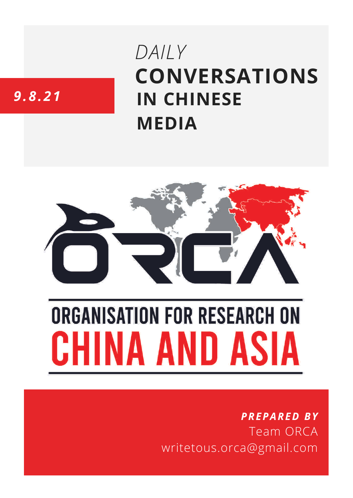# **CONVERSATIONS IN CHINESE MEDIA** *DAILY*

# *9.8.21*



# **ORGANISATION FOR RESEARCH ON** HINA AND ASIA

## *PREPARED BY* Team ORCA writetous.orca@gmail.com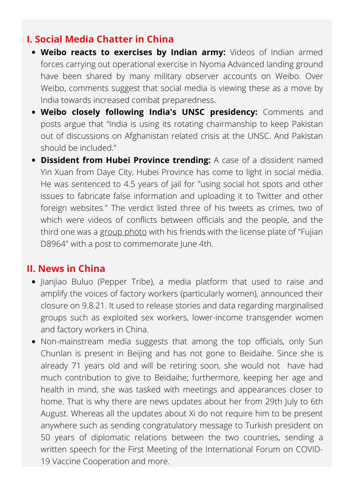#### **I. Social Media Chatter in China**

- **Weibo reacts to exercises by Indian army:** Videos of Indian armed forces carrying out operational exercise in Nyoma Advanced landing ground have been shared by many military observer accounts on Weibo. Over Weibo, comments suggest that social media is viewing these as a move by India towards increased combat preparedness.
- **Weibo closely following India's UNSC presidency:** Comments and posts argue that "India is using its rotating chairmanship to keep Pakistan out of discussions on Afghanistan related crisis at the UNSC. And Pakistan should be included."
- **Dissident from Hubei Province trending:** A case of a dissident named Yin Xuan from Daye City, Hubei Province has come to light in social media. He was sentenced to 4.5 years of jail for "using social hot spots and other issues to fabricate false information and uploading it to Twitter and other foreign websites." The verdict listed three of his tweets as crimes, two of which were videos of conflicts between officials and the people, and the third one was a group [photo](https://twitter.com/gcd8964/status/1124889187000385537/photo/1) with his friends with the license plate of "Fujian D8964" with a post to commemorate June 4th.

#### **II. News in China**

- Jianjiao Buluo (Pepper Tribe), a media platform that used to raise and amplify the voices of factory workers (particularly women), announced their closure on 9.8.21. It used to release stories and data regarding marginalised groups such as exploited sex workers, lower-income transgender women and factory workers in China.
- Non-mainstream media suggests that among the top officials, only Sun Chunlan is present in Beijing and has not gone to Beidaihe. Since she is already 71 years old and will be retiring soon, she would not have had much contribution to give to Beidaihe; furthermore, keeping her age and health in mind, she was tasked with meetings and appearances closer to home. That is why there are news updates about her from 29th July to 6th August. Whereas all the updates about Xi do not require him to be present anywhere such as sending congratulatory message to Turkish president on 50 years of diplomatic relations between the two countries, sending a written speech for the First Meeting of the International Forum on COVID-19 Vaccine Cooperation and more.